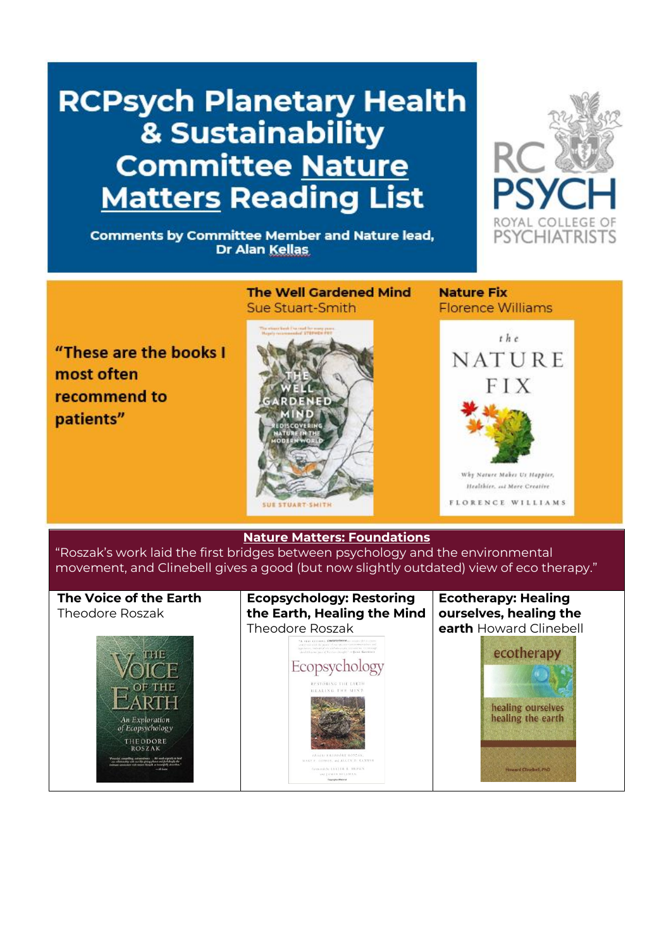# **RCPsych Planetary Health** & Sustainability **Committee Nature Matters Reading List**

**Comments by Committee Member and Nature lead,** Dr Alan Kellas



## "These are the books I most often recommend to patients"

### **The Well Gardened Mind** Sue Stuart-Smith



#### **Nature Fix Elorence Williams**



#### **Nature Matters: Foundations**

"Roszak's work laid the first bridges between psychology and the environmental movement, and Clinebell gives a good (but now slightly outdated) view of eco therapy."

#### **The Voice of the Earth Ecopsychology: Restoring Ecotherapy: Healing the Earth, Healing the Mind ourselves, healing the**  Theodore Roszak Theodore Roszak **earth** Howard Clinebellecotherapy **THF** Ecopsychology healing ourselves healing the earth THEODORE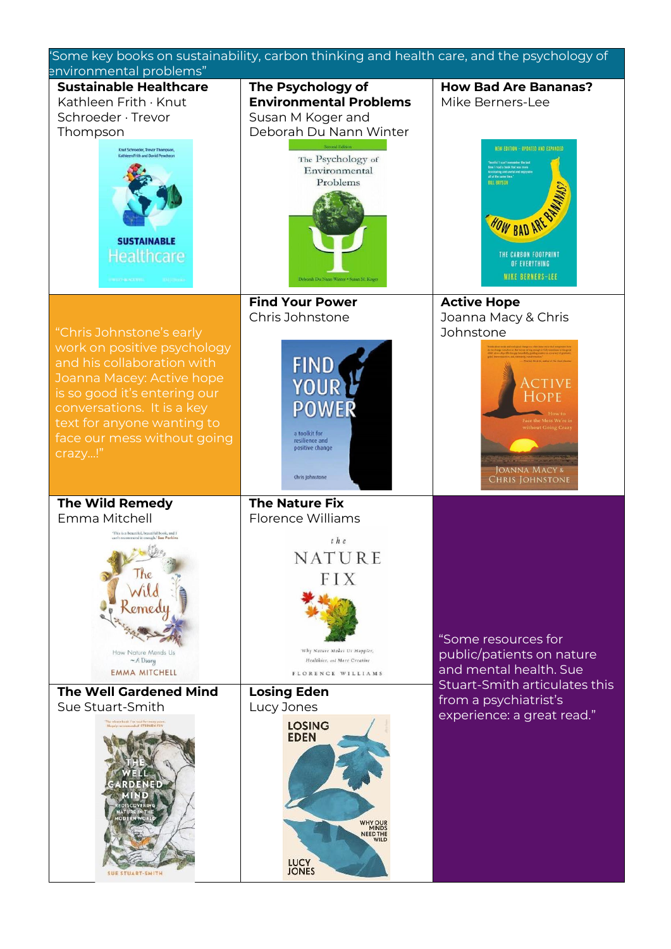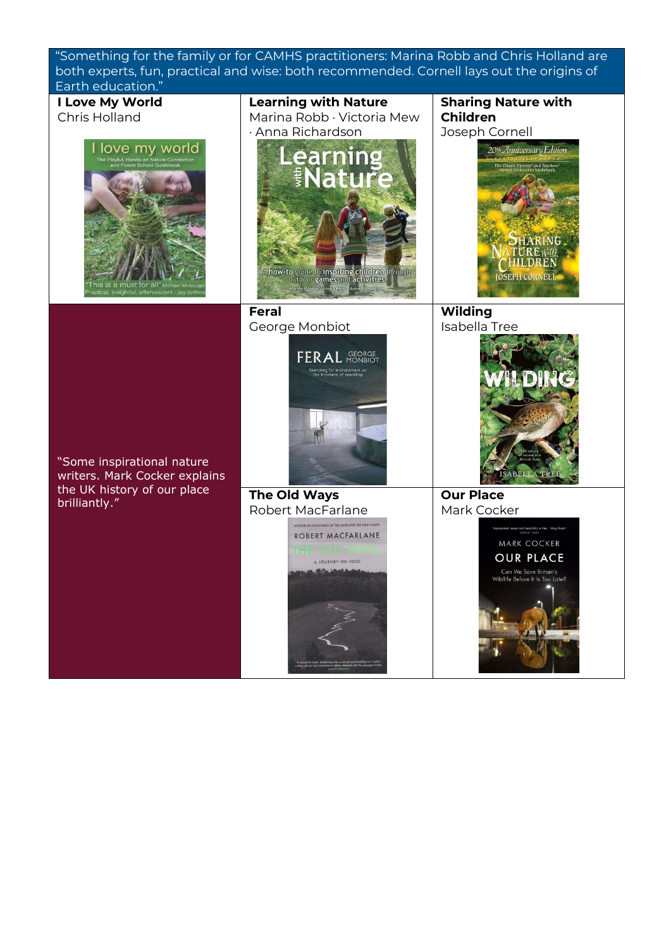